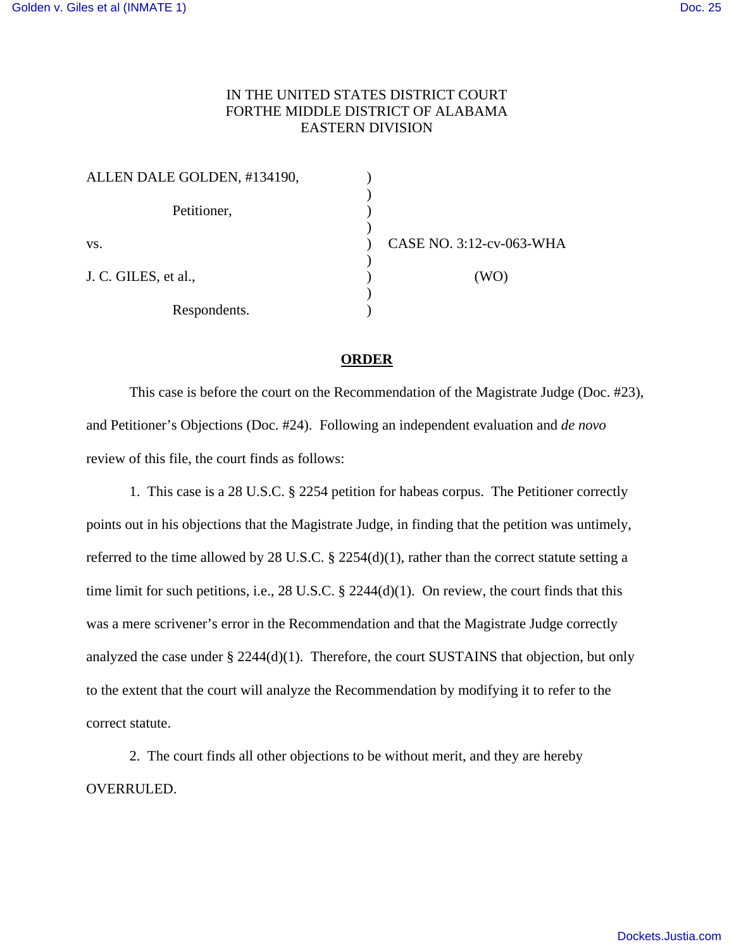## IN THE UNITED STATES DISTRICT COURT FORTHE MIDDLE DISTRICT OF ALABAMA EASTERN DIVISION

| ALLEN DALE GOLDEN, #134190, |                          |
|-----------------------------|--------------------------|
| Petitioner,                 |                          |
| VS.                         | CASE NO. 3:12-cv-063-WHA |
| J. C. GILES, et al.,        | (WO)                     |
| Respondents.                |                          |

## **ORDER**

 This case is before the court on the Recommendation of the Magistrate Judge (Doc. #23), and Petitioner's Objections (Doc. #24). Following an independent evaluation and *de novo* review of this file, the court finds as follows:

 1. This case is a 28 U.S.C. § 2254 petition for habeas corpus. The Petitioner correctly points out in his objections that the Magistrate Judge, in finding that the petition was untimely, referred to the time allowed by 28 U.S.C. § 2254(d)(1), rather than the correct statute setting a time limit for such petitions, i.e., 28 U.S.C. § 2244(d)(1). On review, the court finds that this was a mere scrivener's error in the Recommendation and that the Magistrate Judge correctly analyzed the case under § 2244(d)(1). Therefore, the court SUSTAINS that objection, but only to the extent that the court will analyze the Recommendation by modifying it to refer to the correct statute.

 2. The court finds all other objections to be without merit, and they are hereby OVERRULED.